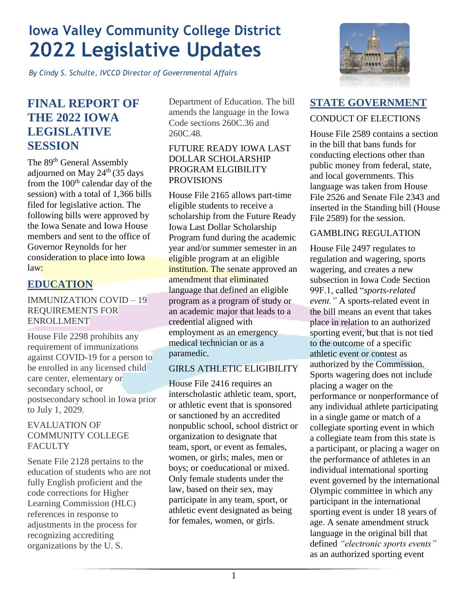## **Iowa Valley Community College District 2022 Legislative Updates**

*By Cindy S. Schulte, IVCCD Director of Governmental Affairs* 

## **FINAL REPORT OF THE 2022 IOWA LEGISLATIVE SESSION**

The 89<sup>th</sup> General Assembly adjourned on May  $24<sup>th</sup>$  (35 days from the 100<sup>th</sup> calendar day of the session) with a total of 1,366 bills filed for legislative action. The following bills were approved by the Iowa Senate and Iowa House members and sent to the office of Governor Reynolds for her consideration to place into Iowa law:

## **EDUCATION**

### IMMUNIZATION COVID – 19 REQUIREMENTS FOR ENROLLMENT

House File 2298 prohibits any requirement of immunizations against COVID-19 for a person to be enrolled in any licensed child care center, elementary or secondary school, or postsecondary school in Iowa prior to July 1, 2029.

#### EVALUATION OF COMMUNITY COLLEGE **FACULTY**

Senate File 2128 pertains to the education of students who are not fully English proficient and the code corrections for Higher Learning Commission (HLC) references in response to adjustments in the process for recognizing accrediting organizations by the U. S.

Department of Education. The bill amends the language in the Iowa Code sections 260C.36 and 260C.48.

#### FUTURE READY IOWA LAST DOLLAR SCHOLARSHIP PROGRAM ELGIBILITY **PROVISIONS**

House File 2165 allows part-time eligible students to receive a scholarship from the Future Ready Iowa Last Dollar Scholarship Program fund during the academic year and/or summer semester in an eligible program at an eligible institution. The senate approved an amendment that eliminated language that defined an eligible program as a program of study or an academic major that leads to a credential aligned with employment as an emergency medical technician or as a paramedic.

### GIRLS ATHLETIC ELIGIBILITY

House File 2416 requires an interscholastic athletic team, sport, or athletic event that is sponsored or sanctioned by an accredited nonpublic school, school district or organization to designate that team, sport, or event as females, women, or girls; males, men or boys; or coeducational or mixed. Only female students under the law, based on their sex, may participate in any team, sport, or athletic event designated as being for females, women, or girls.



## **STATE GOVERNMENT**

### CONDUCT OF ELECTIONS

House File 2589 contains a section in the bill that bans funds for conducting elections other than public money from federal, state, and local governments. This language was taken from House File 2526 and Senate File 2343 and inserted in the Standing bill (House File 2589) for the session.

### GAMBLING REGULATION

House File 2497 regulates to regulation and wagering, sports wagering, and creates a new subsection in Iowa Code Section 99F.1, called "*sports-related event."* A sports-related event in the bill means an event that takes place in relation to an authorized sporting event, but that is not tied to the outcome of a specific athletic event or contest as authorized by the Commission. Sports wagering does not include placing a wager on the performance or nonperformance of any individual athlete participating in a single game or match of a collegiate sporting event in which a collegiate team from this state is a participant, or placing a wager on the performance of athletes in an individual international sporting event governed by the international Olympic committee in which any participant in the international sporting event is under 18 years of age. A senate amendment struck language in the original bill that defined *"electronic sports events"* as an authorized sporting event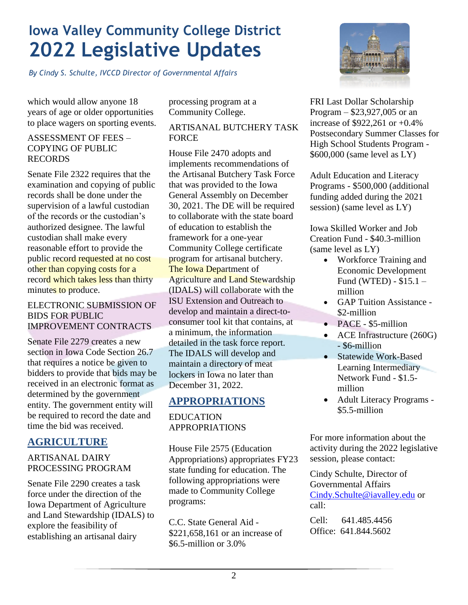# **Iowa Valley Community College District 2022 Legislative Updates**

*By Cindy S. Schulte, IVCCD Director of Governmental Affairs* 

which would allow anyone 18 years of age or older opportunities to place wagers on sporting events.

### ASSESSMENT OF FEES – COPYING OF PUBLIC RECORDS

Senate File 2322 requires that the examination and copying of public records shall be done under the supervision of a lawful custodian of the records or the custodian's authorized designee. The lawful custodian shall make every reasonable effort to provide the public record requested at no cost other than copying costs for a record which takes less than thirty minutes to produce.

#### ELECTRONIC SUBMISSION OF BIDS FOR PUBLIC IMPROVEMENT CONTRACTS

Senate File 2279 creates a new section in Iowa Code Section 26.7 that requires a notice be given to bidders to provide that bids may be received in an electronic format as determined by the government entity. The government entity will be required to record the date and time the bid was received.

## **AGRICULTURE**

### ARTISANAL DAIRY PROCESSING PROGRAM

Senate File 2290 creates a task force under the direction of the Iowa Department of Agriculture and Land Stewardship (IDALS) to explore the feasibility of establishing an artisanal dairy

processing program at a Community College.

### ARTISANAL BUTCHERY TASK FORCE

House File 2470 adopts and implements recommendations of the Artisanal Butchery Task Force that was provided to the Iowa General Assembly on December 30, 2021. The DE will be required to collaborate with the state board of education to establish the framework for a one-year Community College certificate program for artisanal butchery. The Iowa Department of Agriculture and Land Stewardship (IDALS) will collaborate with the ISU Extension and Outreach to develop and maintain a direct-toconsumer tool kit that contains, at a minimum, the information detailed in the task force report. The IDALS will develop and maintain a directory of meat lockers in Iowa no later than December 31, 2022.

## **APPROPRIATIONS**

### EDUCATION APPROPRIATIONS

House File 2575 (Education Appropriations) appropriates FY23 state funding for education. The following appropriations were made to Community College programs:

C.C. State General Aid - \$221,658,161 or an increase of \$6.5-million or 3.0%



FRI Last Dollar Scholarship Program – \$23,927,005 or an increase of \$922,261 or +0.4% Postsecondary Summer Classes for High School Students Program - \$600,000 (same level as LY)

Adult Education and Literacy Programs - \$500,000 (additional funding added during the 2021 session) (same level as LY)

Iowa Skilled Worker and Job Creation Fund - \$40.3-million (same level as LY)

- Workforce Training and Economic Development Fund (WTED) - \$15.1 – million
- GAP Tuition Assistance \$2-million
- PACE \$5-million
- ACE Infrastructure (260G) - \$6-million
- Statewide Work-Based Learning Intermediary Network Fund - \$1.5 million
- Adult Literacy Programs \$5.5-million

For more information about the activity during the 2022 legislative session, please contact:

Cindy Schulte, Director of Governmental Affairs [Cindy.Schulte@iavalley.edu](mailto:Cindy.Schulte@iavalley.edu) or call:

Cell: 641.485.4456 Office: 641.844.5602